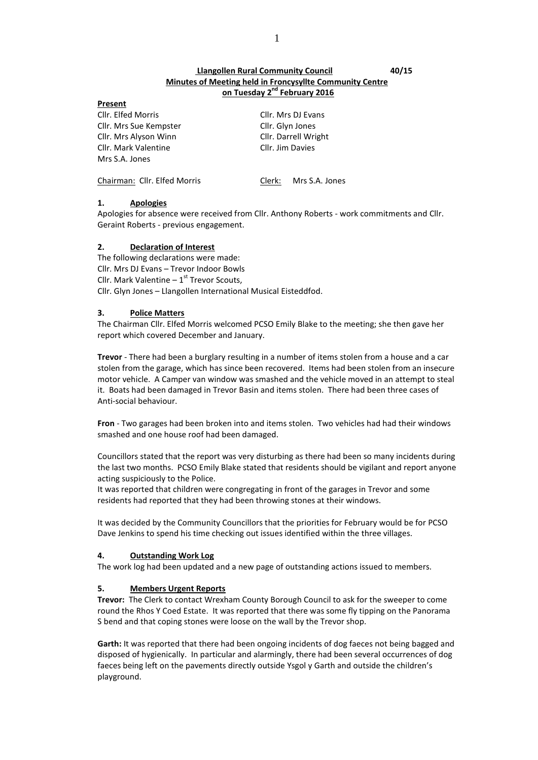# **Llangollen Rural Community Council 40/15 Minutes of Meeting held in Froncysyllte Community Centre on Tuesday 2nd February 2016**

| 1153511L                     |                       |  |  |
|------------------------------|-----------------------|--|--|
| Cllr. Elfed Morris           | Cllr. Mrs DJ Evans    |  |  |
| Cllr. Mrs Sue Kempster       | Cllr. Glyn Jones      |  |  |
| Cllr. Mrs Alyson Winn        | Cllr. Darrell Wright  |  |  |
| Cllr. Mark Valentine         | Cllr. Jim Davies      |  |  |
| Mrs S.A. Jones               |                       |  |  |
| Chairman: Cllr. Elfed Morris | Clerk: Mrs S.A. Jones |  |  |

### **1. Apologies**

**Present**

Apologies for absence were received from Cllr. Anthony Roberts - work commitments and Cllr. Geraint Roberts - previous engagement.

### **2. Declaration of Interest**

The following declarations were made: Cllr. Mrs DJ Evans – Trevor Indoor Bowls Cllr. Mark Valentine  $-1^{st}$  Trevor Scouts, Cllr. Glyn Jones – Llangollen International Musical Eisteddfod.

## **3. Police Matters**

The Chairman Cllr. Elfed Morris welcomed PCSO Emily Blake to the meeting; she then gave her report which covered December and January.

**Trevor** - There had been a burglary resulting in a number of items stolen from a house and a car stolen from the garage, which has since been recovered. Items had been stolen from an insecure motor vehicle. A Camper van window was smashed and the vehicle moved in an attempt to steal it. Boats had been damaged in Trevor Basin and items stolen. There had been three cases of Anti-social behaviour.

**Fron** - Two garages had been broken into and items stolen. Two vehicles had had their windows smashed and one house roof had been damaged.

Councillors stated that the report was very disturbing as there had been so many incidents during the last two months. PCSO Emily Blake stated that residents should be vigilant and report anyone acting suspiciously to the Police.

It was reported that children were congregating in front of the garages in Trevor and some residents had reported that they had been throwing stones at their windows.

It was decided by the Community Councillors that the priorities for February would be for PCSO Dave Jenkins to spend his time checking out issues identified within the three villages.

### **4. Outstanding Work Log**

The work log had been updated and a new page of outstanding actions issued to members.

# **5. Members Urgent Reports**

**Trevor:** The Clerk to contact Wrexham County Borough Council to ask for the sweeper to come round the Rhos Y Coed Estate. It was reported that there was some fly tipping on the Panorama S bend and that coping stones were loose on the wall by the Trevor shop.

**Garth:** It was reported that there had been ongoing incidents of dog faeces not being bagged and disposed of hygienically. In particular and alarmingly, there had been several occurrences of dog faeces being left on the pavements directly outside Ysgol y Garth and outside the children's playground.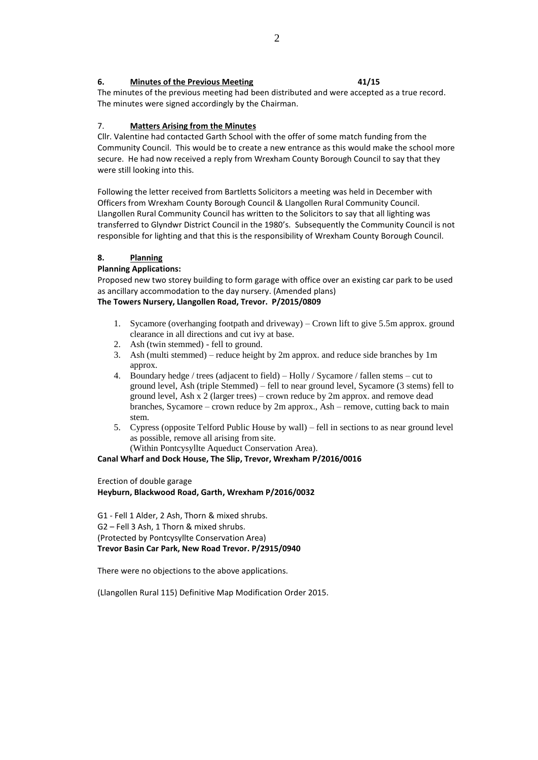## **6. Minutes of the Previous Meeting 41/15**

The minutes of the previous meeting had been distributed and were accepted as a true record. The minutes were signed accordingly by the Chairman.

## 7. **Matters Arising from the Minutes**

Cllr. Valentine had contacted Garth School with the offer of some match funding from the Community Council. This would be to create a new entrance as this would make the school more secure. He had now received a reply from Wrexham County Borough Council to say that they were still looking into this.

Following the letter received from Bartletts Solicitors a meeting was held in December with Officers from Wrexham County Borough Council & Llangollen Rural Community Council. Llangollen Rural Community Council has written to the Solicitors to say that all lighting was transferred to Glyndwr District Council in the 1980's. Subsequently the Community Council is not responsible for lighting and that this is the responsibility of Wrexham County Borough Council.

# **8. Planning**

## **Planning Applications:**

Proposed new two storey building to form garage with office over an existing car park to be used as ancillary accommodation to the day nursery. (Amended plans) **The Towers Nursery, Llangollen Road, Trevor. P/2015/0809**

- 1. Sycamore (overhanging footpath and driveway) Crown lift to give 5.5m approx. ground clearance in all directions and cut ivy at base.
- 2. Ash (twin stemmed) fell to ground.
- 3. Ash (multi stemmed) reduce height by 2m approx. and reduce side branches by 1m approx.
- 4. Boundary hedge / trees (adjacent to field) Holly / Sycamore / fallen stems cut to ground level, Ash (triple Stemmed) – fell to near ground level, Sycamore (3 stems) fell to ground level, Ash x 2 (larger trees) – crown reduce by 2m approx. and remove dead branches, Sycamore – crown reduce by 2m approx., Ash – remove, cutting back to main stem.
- 5. Cypress (opposite Telford Public House by wall) fell in sections to as near ground level as possible, remove all arising from site.

(Within Pontcysyllte Aqueduct Conservation Area).

**Canal Wharf and Dock House, The Slip, Trevor, Wrexham P/2016/0016**

Erection of double garage

**Heyburn, Blackwood Road, Garth, Wrexham P/2016/0032**

G1 - Fell 1 Alder, 2 Ash, Thorn & mixed shrubs. G2 – Fell 3 Ash, 1 Thorn & mixed shrubs. (Protected by Pontcysyllte Conservation Area) **Trevor Basin Car Park, New Road Trevor. P/2915/0940**

There were no objections to the above applications.

(Llangollen Rural 115) Definitive Map Modification Order 2015.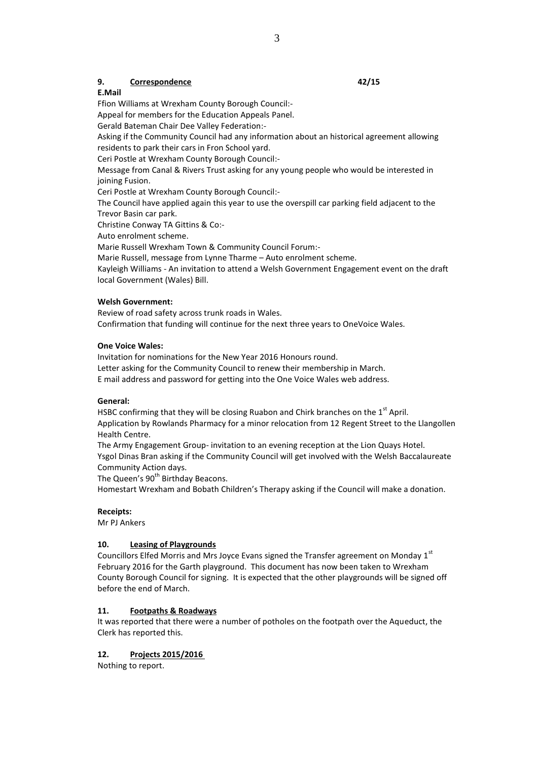## **9. Correspondence 42/15**

**E.Mail**

Ffion Williams at Wrexham County Borough Council:-

Appeal for members for the Education Appeals Panel.

Gerald Bateman Chair Dee Valley Federation:-

Asking if the Community Council had any information about an historical agreement allowing residents to park their cars in Fron School yard.

Ceri Postle at Wrexham County Borough Council:-

Message from Canal & Rivers Trust asking for any young people who would be interested in joining Fusion.

Ceri Postle at Wrexham County Borough Council:-

The Council have applied again this year to use the overspill car parking field adjacent to the Trevor Basin car park.

Christine Conway TA Gittins & Co:-

Auto enrolment scheme.

Marie Russell Wrexham Town & Community Council Forum:-

Marie Russell, message from Lynne Tharme – Auto enrolment scheme.

Kayleigh Williams - An invitation to attend a Welsh Government Engagement event on the draft local Government (Wales) Bill.

## **Welsh Government:**

Review of road safety across trunk roads in Wales.

Confirmation that funding will continue for the next three years to OneVoice Wales.

### **One Voice Wales:**

Invitation for nominations for the New Year 2016 Honours round. Letter asking for the Community Council to renew their membership in March. E mail address and password for getting into the One Voice Wales web address.

### **General:**

HSBC confirming that they will be closing Ruabon and Chirk branches on the 1<sup>st</sup> April. Application by Rowlands Pharmacy for a minor relocation from 12 Regent Street to the Llangollen Health Centre.

The Army Engagement Group- invitation to an evening reception at the Lion Quays Hotel. Ysgol Dinas Bran asking if the Community Council will get involved with the Welsh Baccalaureate Community Action days.

The Queen's 90<sup>th</sup> Birthday Beacons.

Homestart Wrexham and Bobath Children's Therapy asking if the Council will make a donation.

# **Receipts:**

Mr PJ Ankers

# **10. Leasing of Playgrounds**

Councillors Elfed Morris and Mrs Joyce Evans signed the Transfer agreement on Monday 1<sup>st</sup> February 2016 for the Garth playground. This document has now been taken to Wrexham County Borough Council for signing. It is expected that the other playgrounds will be signed off before the end of March.

### **11. Footpaths & Roadways**

It was reported that there were a number of potholes on the footpath over the Aqueduct, the Clerk has reported this.

# **12. Projects 2015/2016**

Nothing to report.